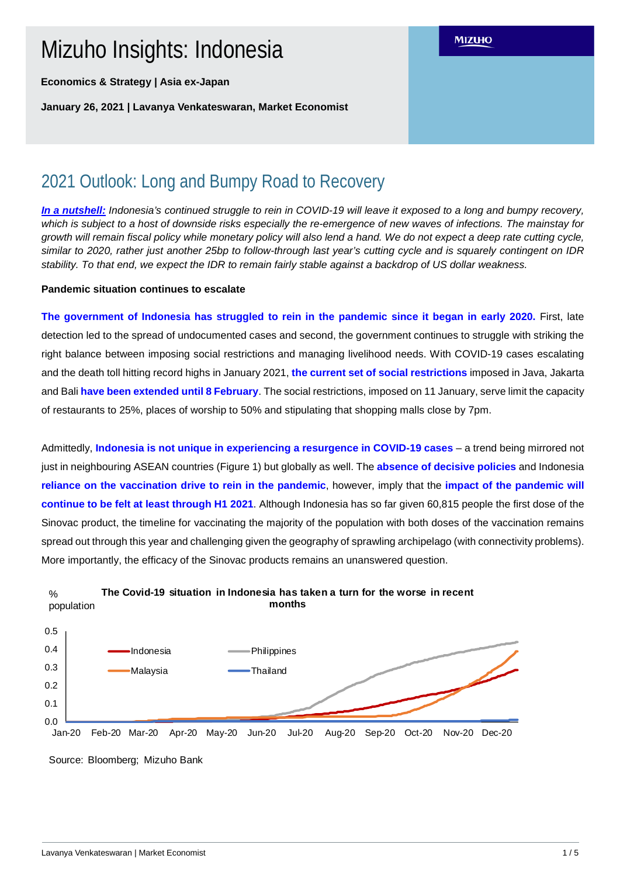# Mizuho Insights: Indonesia

**Economics & Strategy | Asia ex-Japan**

**January 26, 2021 | Lavanya Venkateswaran, Market Economist**

# 2021 Outlook: Long and Bumpy Road to Recovery

*In a nutshell: Indonesia's continued struggle to rein in COVID-19 will leave it exposed to a long and bumpy recovery, which is subject to a host of downside risks especially the re-emergence of new waves of infections. The mainstay for growth will remain fiscal policy while monetary policy will also lend a hand. We do not expect a deep rate cutting cycle, similar to 2020, rather just another 25bp to follow-through last year's cutting cycle and is squarely contingent on IDR stability. To that end, we expect the IDR to remain fairly stable against a backdrop of US dollar weakness.* 

## **Pandemic situation continues to escalate**

**The government of Indonesia has struggled to rein in the pandemic since it began in early 2020.** First, late detection led to the spread of undocumented cases and second, the government continues to struggle with striking the right balance between imposing social restrictions and managing livelihood needs. With COVID-19 cases escalating and the death toll hitting record highs in January 2021, **the current set of social restrictions** imposed in Java, Jakarta and Bali **have been extended until 8 February**. The social restrictions, imposed on 11 January, serve limit the capacity of restaurants to 25%, places of worship to 50% and stipulating that shopping malls close by 7pm.

Admittedly, **Indonesia is not unique in experiencing a resurgence in COVID-19 cases** – a trend being mirrored not just in neighbouring ASEAN countries (Figure 1) but globally as well. The **absence of decisive policies** and Indonesia **reliance on the vaccination drive to rein in the pandemic**, however, imply that the **impact of the pandemic will continue to be felt at least through H1 2021**. Although Indonesia has so far given 60,815 people the first dose of the Sinovac product, the timeline for vaccinating the majority of the population with both doses of the vaccination remains spread out through this year and challenging given the geography of sprawling archipelago (with connectivity problems). More importantly, the efficacy of the Sinovac products remains an unanswered question.



**The Covid-19 situation in Indonesia has taken a turn for the worse in recent**   $\frac{0}{0}$ 

Source: Bloomberg; Mizuho Bank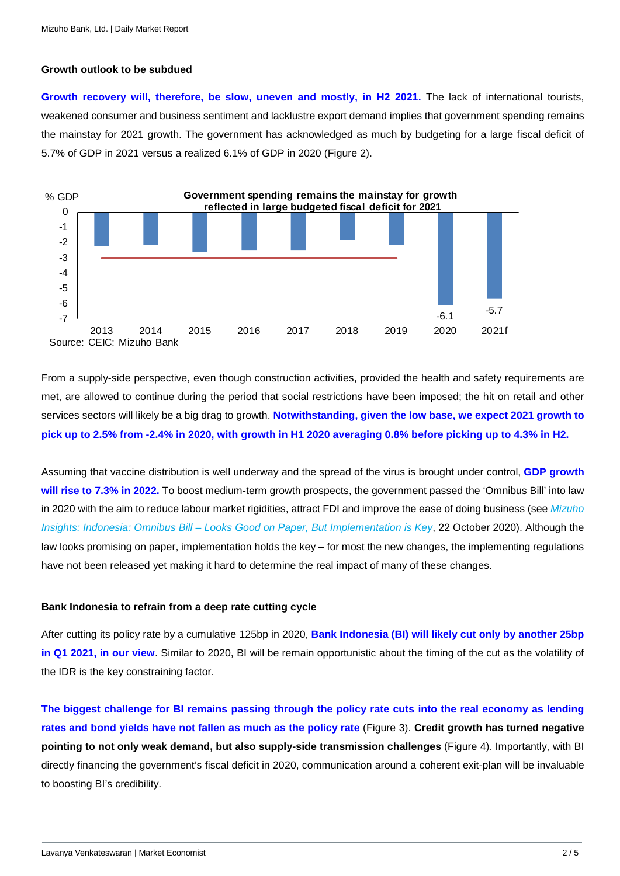#### **Growth outlook to be subdued**

**Growth recovery will, therefore, be slow, uneven and mostly, in H2 2021.** The lack of international tourists, weakened consumer and business sentiment and lacklustre export demand implies that government spending remains the mainstay for 2021 growth. The government has acknowledged as much by budgeting for a large fiscal deficit of 5.7% of GDP in 2021 versus a realized 6.1% of GDP in 2020 (Figure 2).



From a supply-side perspective, even though construction activities, provided the health and safety requirements are met, are allowed to continue during the period that social restrictions have been imposed; the hit on retail and other services sectors will likely be a big drag to growth. **Notwithstanding, given the low base, we expect 2021 growth to pick up to 2.5% from -2.4% in 2020, with growth in H1 2020 averaging 0.8% before picking up to 4.3% in H2.**

Assuming that vaccine distribution is well underway and the spread of the virus is brought under control, **GDP growth will rise to 7.3% in 2022.** To boost medium-term growth prospects, the government passed the 'Omnibus Bill' into law in 2020 with the aim to reduce labour market rigidities, attract FDI and improve the ease of doing business (see *[Mizuho](https://www.mizuhogroup.com/binaries/content/assets/pdf/singapore/macro/ad-hoc/insights/mizuho-insights_id-omnibus-law_201022.pdf)  Insights: Indonesia: Omnibus Bill – [Looks Good on Paper, But Implementation is Key](https://www.mizuhogroup.com/binaries/content/assets/pdf/singapore/macro/ad-hoc/insights/mizuho-insights_id-omnibus-law_201022.pdf)*, 22 October 2020). Although the law looks promising on paper, implementation holds the key – for most the new changes, the implementing regulations have not been released yet making it hard to determine the real impact of many of these changes.

### **Bank Indonesia to refrain from a deep rate cutting cycle**

After cutting its policy rate by a cumulative 125bp in 2020, **Bank Indonesia (BI) will likely cut only by another 25bp in Q1 2021, in our view**. Similar to 2020, BI will be remain opportunistic about the timing of the cut as the volatility of the IDR is the key constraining factor.

**The biggest challenge for BI remains passing through the policy rate cuts into the real economy as lending rates and bond yields have not fallen as much as the policy rate** (Figure 3). **Credit growth has turned negative pointing to not only weak demand, but also supply-side transmission challenges** (Figure 4). Importantly, with BI directly financing the government's fiscal deficit in 2020, communication around a coherent exit-plan will be invaluable to boosting BI's credibility.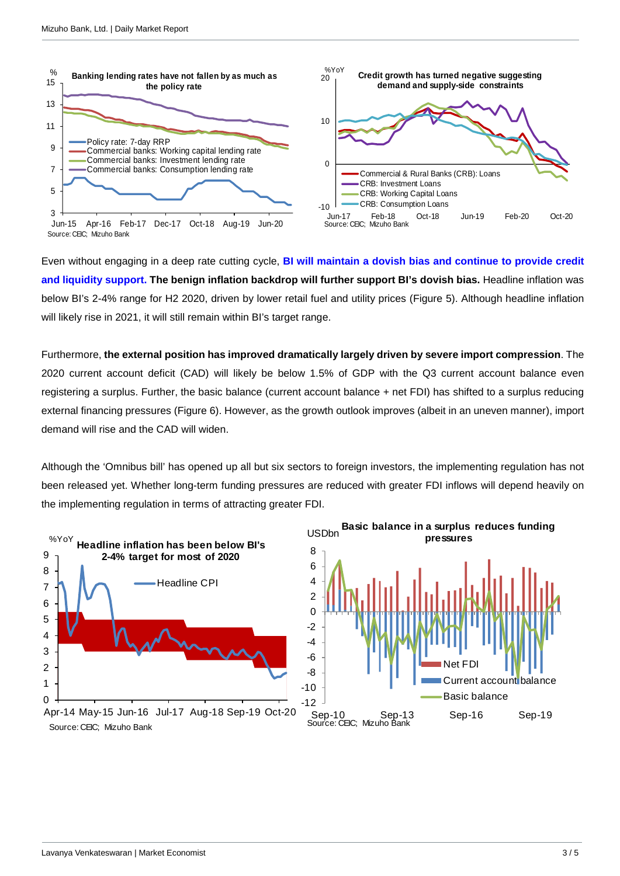

Even without engaging in a deep rate cutting cycle, **BI will maintain a dovish bias and continue to provide credit and liquidity support. The benign inflation backdrop will further support BI's dovish bias.** Headline inflation was below BI's 2-4% range for H2 2020, driven by lower retail fuel and utility prices (Figure 5). Although headline inflation will likely rise in 2021, it will still remain within BI's target range.

Furthermore, **the external position has improved dramatically largely driven by severe import compression**. The 2020 current account deficit (CAD) will likely be below 1.5% of GDP with the Q3 current account balance even registering a surplus. Further, the basic balance (current account balance + net FDI) has shifted to a surplus reducing external financing pressures (Figure 6). However, as the growth outlook improves (albeit in an uneven manner), import demand will rise and the CAD will widen.

Although the 'Omnibus bill' has opened up all but six sectors to foreign investors, the implementing regulation has not been released yet. Whether long-term funding pressures are reduced with greater FDI inflows will depend heavily on the implementing regulation in terms of attracting greater FDI.



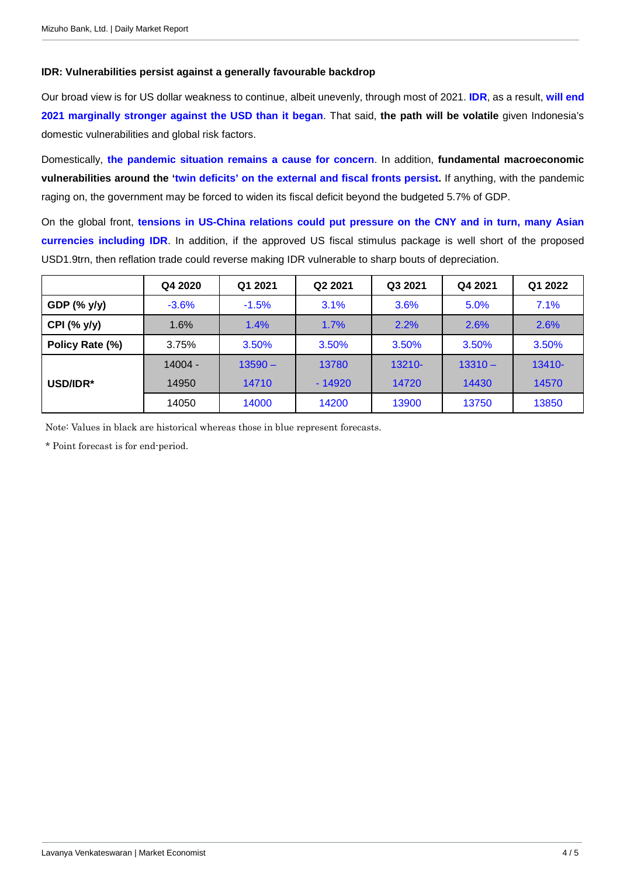## **IDR: Vulnerabilities persist against a generally favourable backdrop**

Our broad view is for US dollar weakness to continue, albeit unevenly, through most of 2021. **IDR**, as a result, **will end 2021 marginally stronger against the USD than it began**. That said, **the path will be volatile** given Indonesia's domestic vulnerabilities and global risk factors.

Domestically, **the pandemic situation remains a cause for concern**. In addition, **fundamental macroeconomic vulnerabilities around the 'twin deficits' on the external and fiscal fronts persist.** If anything, with the pandemic raging on, the government may be forced to widen its fiscal deficit beyond the budgeted 5.7% of GDP.

On the global front, **tensions in US-China relations could put pressure on the CNY and in turn, many Asian currencies including IDR**. In addition, if the approved US fiscal stimulus package is well short of the proposed USD1.9trn, then reflation trade could reverse making IDR vulnerable to sharp bouts of depreciation.

|                  | Q4 2020   | Q1 2021   | Q2 2021  | Q3 2021   | Q4 2021   | Q1 2022   |
|------------------|-----------|-----------|----------|-----------|-----------|-----------|
| GDP $(% y/y)$    | $-3.6\%$  | $-1.5%$   | 3.1%     | 3.6%      | 5.0%      | 7.1%      |
| CPI $(%$ (% y/y) | 1.6%      | 1.4%      | 1.7%     | 2.2%      | 2.6%      | 2.6%      |
| Policy Rate (%)  | 3.75%     | 3.50%     | 3.50%    | 3.50%     | 3.50%     | 3.50%     |
|                  | $14004 -$ | $13590 -$ | 13780    | $13210 -$ | $13310 -$ | $13410 -$ |
| USD/IDR*         | 14950     | 14710     | $-14920$ | 14720     | 14430     | 14570     |
|                  | 14050     | 14000     | 14200    | 13900     | 13750     | 13850     |

Note: Values in black are historical whereas those in blue represent forecasts.

\* Point forecast is for end-period.